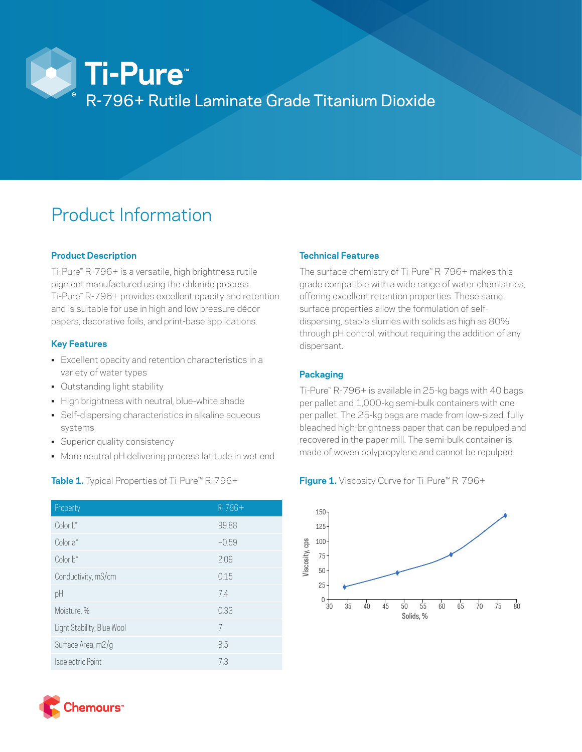

# Product Information

# **Product Description**

Ti-Pure™ R-796+ is a versatile, high brightness rutile pigment manufactured using the chloride process. Ti-Pure™ R-796+ provides excellent opacity and retention and is suitable for use in high and low pressure décor papers, decorative foils, and print-base applications.

## **Key Features**

- Excellent opacity and retention characteristics in a variety of water types
- Outstanding light stability
- High brightness with neutral, blue-white shade
- Self-dispersing characteristics in alkaline aqueous systems
- Superior quality consistency
- More neutral pH delivering process latitude in wet end

## **Table 1.** Typical Properties of Ti-Pure™ R-796+

| Property                   | $R - 796 +$ |
|----------------------------|-------------|
| Color L*                   | 99.88       |
| Color a*                   | $-0.59$     |
| Color b*                   | 2.09        |
| Conductivity, mS/cm        | 0.15        |
| pH                         | 7.4         |
| Moisture, %                | 0.33        |
| Light Stability, Blue Wool | 7           |
| Surface Area, m2/g         | 8.5         |
| Isoelectric Point          | 7.3         |

# **Technical Features**

The surface chemistry of Ti-Pure™ R-796+ makes this grade compatible with a wide range of water chemistries, offering excellent retention properties. These same surface properties allow the formulation of selfdispersing, stable slurries with solids as high as 80% through pH control, without requiring the addition of any dispersant.

# **Packaging**

Ti-Pure" R-796+ is available in 25-kg bags with 40 bags per pallet and 1,000-kg semi-bulk containers with one per pallet. The 25-kg bags are made from low-sized, fully bleached high-brightness paper that can be repulped and recovered in the paper mill. The semi-bulk container is made of woven polypropylene and cannot be repulped.

## **Figure 1.** Viscosity Curve for Ti-Pure™ R-796+